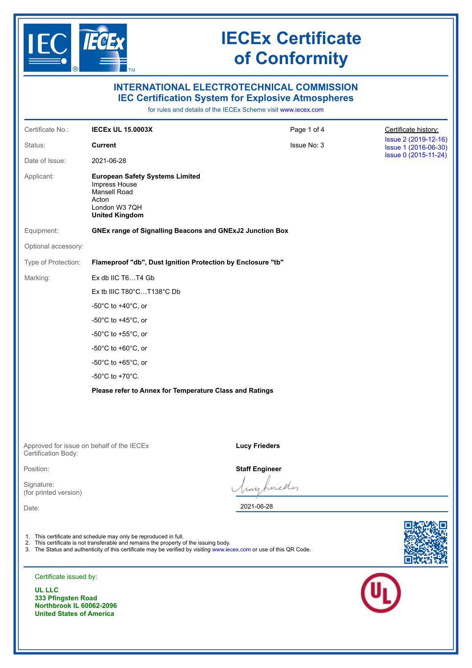

| <b>INTERNATIONAL ELECTROTECHNICAL COMMISSION</b><br><b>IEC Certification System for Explosive Atmospheres</b><br>for rules and details of the IECEx Scheme visit www.iecex.com |                                                                                                                                                                                                                                                                                |                       |                                              |  |  |  |  |  |  |
|--------------------------------------------------------------------------------------------------------------------------------------------------------------------------------|--------------------------------------------------------------------------------------------------------------------------------------------------------------------------------------------------------------------------------------------------------------------------------|-----------------------|----------------------------------------------|--|--|--|--|--|--|
| Certificate No.:                                                                                                                                                               | <b>IECEX UL 15.0003X</b>                                                                                                                                                                                                                                                       | Page 1 of 4           | Certificate history:                         |  |  |  |  |  |  |
| Status:                                                                                                                                                                        | <b>Current</b>                                                                                                                                                                                                                                                                 | Issue No: 3           | Issue 2 (2019-12-16)<br>Issue 1 (2016-06-30) |  |  |  |  |  |  |
| Date of Issue:                                                                                                                                                                 | 2021-06-28                                                                                                                                                                                                                                                                     |                       | Issue 0 (2015-11-24)                         |  |  |  |  |  |  |
| Applicant:                                                                                                                                                                     | <b>European Safety Systems Limited</b><br>Impress House<br>Mansell Road<br>Acton<br>London W3 7QH<br><b>United Kingdom</b>                                                                                                                                                     |                       |                                              |  |  |  |  |  |  |
| Equipment:                                                                                                                                                                     | <b>GNEx range of Signalling Beacons and GNExJ2 Junction Box</b>                                                                                                                                                                                                                |                       |                                              |  |  |  |  |  |  |
| Optional accessory:                                                                                                                                                            |                                                                                                                                                                                                                                                                                |                       |                                              |  |  |  |  |  |  |
| Type of Protection:                                                                                                                                                            | Flameproof "db", Dust Ignition Protection by Enclosure "tb"                                                                                                                                                                                                                    |                       |                                              |  |  |  |  |  |  |
| Marking:                                                                                                                                                                       | Ex db IIC T6T4 Gb                                                                                                                                                                                                                                                              |                       |                                              |  |  |  |  |  |  |
|                                                                                                                                                                                | Ex tb IIIC T80°CT138°C Db                                                                                                                                                                                                                                                      |                       |                                              |  |  |  |  |  |  |
|                                                                                                                                                                                | -50 $^{\circ}$ C to +40 $^{\circ}$ C, or                                                                                                                                                                                                                                       |                       |                                              |  |  |  |  |  |  |
|                                                                                                                                                                                | -50 $^{\circ}$ C to +45 $^{\circ}$ C, or                                                                                                                                                                                                                                       |                       |                                              |  |  |  |  |  |  |
|                                                                                                                                                                                | -50 $^{\circ}$ C to +55 $^{\circ}$ C, or                                                                                                                                                                                                                                       |                       |                                              |  |  |  |  |  |  |
|                                                                                                                                                                                | -50 $^{\circ}$ C to +60 $^{\circ}$ C, or                                                                                                                                                                                                                                       |                       |                                              |  |  |  |  |  |  |
|                                                                                                                                                                                | -50 $^{\circ}$ C to +65 $^{\circ}$ C, or                                                                                                                                                                                                                                       |                       |                                              |  |  |  |  |  |  |
|                                                                                                                                                                                | -50 $^{\circ}$ C to +70 $^{\circ}$ C.                                                                                                                                                                                                                                          |                       |                                              |  |  |  |  |  |  |
|                                                                                                                                                                                | Please refer to Annex for Temperature Class and Ratings                                                                                                                                                                                                                        |                       |                                              |  |  |  |  |  |  |
| Certification Body:                                                                                                                                                            | Approved for issue on behalf of the IECEx                                                                                                                                                                                                                                      | <b>Lucy Frieders</b>  |                                              |  |  |  |  |  |  |
| Position:                                                                                                                                                                      |                                                                                                                                                                                                                                                                                | <b>Staff Engineer</b> |                                              |  |  |  |  |  |  |
| Signature:<br>(for printed version)                                                                                                                                            |                                                                                                                                                                                                                                                                                |                       |                                              |  |  |  |  |  |  |
| Date:                                                                                                                                                                          |                                                                                                                                                                                                                                                                                | 2021-06-28            |                                              |  |  |  |  |  |  |
| 2.                                                                                                                                                                             | 1. This certificate and schedule may only be reproduced in full.<br>This certificate is not transferable and remains the property of the issuing body.<br>3. The Status and authenticity of this certificate may be verified by visiting www.iecex.com or use of this QR Code. |                       |                                              |  |  |  |  |  |  |
| Certificate issued by:                                                                                                                                                         |                                                                                                                                                                                                                                                                                |                       |                                              |  |  |  |  |  |  |
| <b>UL LLC</b>                                                                                                                                                                  |                                                                                                                                                                                                                                                                                |                       |                                              |  |  |  |  |  |  |

**UL LLC 333 Pfingsten Road Northbrook IL 60062-2096 United States of America**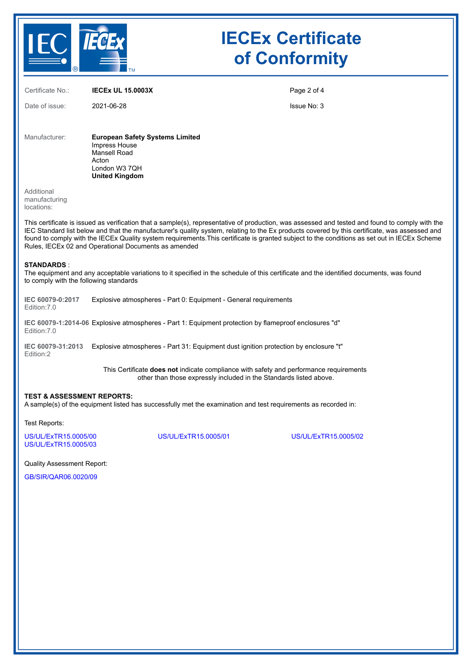

Certificate No.: **IECEx UL 15.0003X**

Date of issue: 2021-06-28

Page 2 of 4

Issue No: 3

Manufacturer: **European Safety Systems Limited** Impress House Mansell Road Acton London W3 7QH **United Kingdom**

Additional manufacturing locations:

This certificate is issued as verification that a sample(s), representative of production, was assessed and tested and found to comply with the IEC Standard list below and that the manufacturer's quality system, relating to the Ex products covered by this certificate, was assessed and found to comply with the IECEx Quality system requirements.This certificate is granted subject to the conditions as set out in IECEx Scheme Rules, IECEx 02 and Operational Documents as amended

#### **STANDARDS** :

The equipment and any acceptable variations to it specified in the schedule of this certificate and the identified documents, was found to comply with the following standards

**IEC 60079-0:2017** Edition:7.0 Explosive atmospheres - Part 0: Equipment - General requirements

**IEC 60079-1:2014-06** Explosive atmospheres - Part 1: Equipment protection by flameproof enclosures "d" Edition:7.0

**IEC 60079-31:2013** Explosive atmospheres - Part 31: Equipment dust ignition protection by enclosure "t" Edition:2

> This Certificate **does not** indicate compliance with safety and performance requirements other than those expressly included in the Standards listed above.

### **TEST & ASSESSMENT REPORTS:**

A sample(s) of the equipment listed has successfully met the examination and test requirements as recorded in:

Test Reports:

[US/UL/ExTR15.0005/00](https://www.iecex-certs.com/deliverables/REPORT/36841/view) [US/UL/ExTR15.0005/01](https://www.iecex-certs.com/deliverables/REPORT/36842/view) [US/UL/ExTR15.0005/02](https://www.iecex-certs.com/deliverables/REPORT/62425/view) [US/UL/ExTR15.0005/03](https://www.iecex-certs.com/deliverables/REPORT/68558/view)

Quality Assessment Report:

[GB/SIR/QAR06.0020/09](https://www.iecex-certs.com/deliverables/REPORT/70577/view)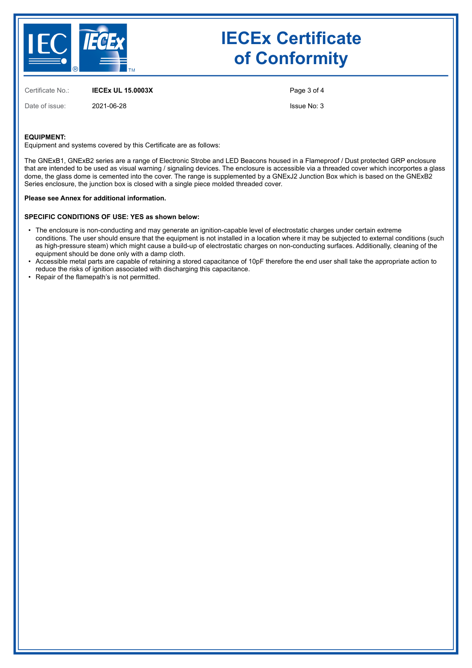

Certificate No.: **IECEx UL 15.0003X**

Date of issue: 2021-06-28

Page 3 of 4

Issue No: 3

### **EQUIPMENT:**

Equipment and systems covered by this Certificate are as follows:

The GNExB1, GNExB2 series are a range of Electronic Strobe and LED Beacons housed in a Flameproof / Dust protected GRP enclosure that are intended to be used as visual warning / signaling devices. The enclosure is accessible via a threaded cover which incorportes a glass dome, the glass dome is cemented into the cover. The range is supplemented by a GNExJ2 Junction Box which is based on the GNExB2 Series enclosure, the junction box is closed with a single piece molded threaded cover.

**Please see Annex for additional information.**

#### **SPECIFIC CONDITIONS OF USE: YES as shown below:**

- The enclosure is non-conducting and may generate an ignition-capable level of electrostatic charges under certain extreme conditions. The user should ensure that the equipment is not installed in a location where it may be subjected to external conditions (such as high-pressure steam) which might cause a build-up of electrostatic charges on non-conducting surfaces. Additionally, cleaning of the equipment should be done only with a damp cloth.
- Accessible metal parts are capable of retaining a stored capacitance of 10pF therefore the end user shall take the appropriate action to reduce the risks of ignition associated with discharging this capacitance.
- Repair of the flamepath's is not permitted.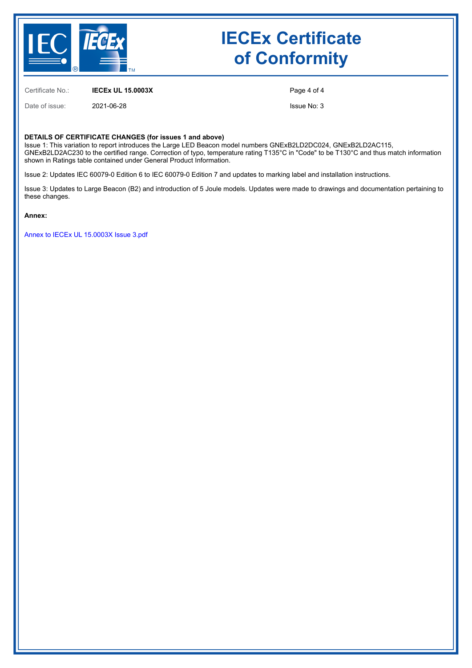

Certificate No.: **IECEx UL 15.0003X**

Date of issue: 2021-06-28

Page 4 of 4

Issue No: 3

#### **DETAILS OF CERTIFICATE CHANGES (for issues 1 and above)**

Issue 1: This variation to report introduces the Large LED Beacon model numbers GNExB2LD2DC024, GNExB2LD2AC115, GNExB2LD2AC230 to the certified range. Correction of typo, temperature rating T135°C in "Code" to be T130°C and thus match information shown in Ratings table contained under General Product Information.

Issue 2: Updates IEC 60079-0 Edition 6 to IEC 60079-0 Edition 7 and updates to marking label and installation instructions.

Issue 3: Updates to Large Beacon (B2) and introduction of 5 Joule models. Updates were made to drawings and documentation pertaining to these changes.

**Annex:**

[Annex to IECEx UL 15.0003X Issue 3.pdf](https://www.iecex-certs.com/deliverables/CERT/50423/view)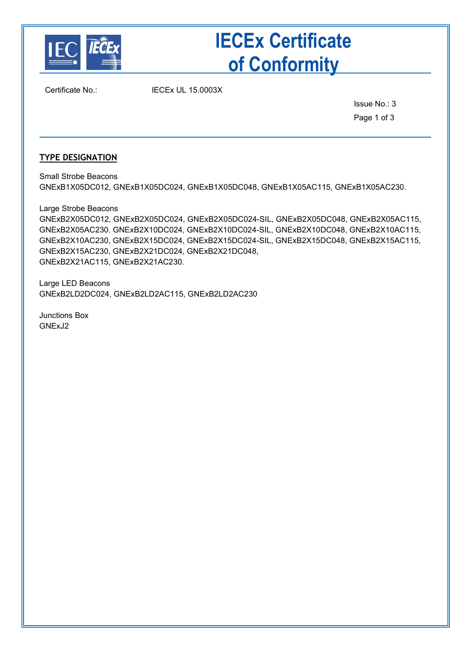

Certificate No.: IECEx UL 15.0003X

Issue No.: 3 Page 1 of 3

## **TYPE DESIGNATION**

Small Strobe Beacons GNExB1X05DC012, GNExB1X05DC024, GNExB1X05DC048, GNExB1X05AC115, GNExB1X05AC230.

Large Strobe Beacons GNExB2X05DC012, GNExB2X05DC024, GNExB2X05DC024-SIL, GNExB2X05DC048, GNExB2X05AC115, GNExB2X05AC230. GNExB2X10DC024, GNExB2X10DC024-SIL, GNExB2X10DC048, GNExB2X10AC115, GNExB2X10AC230, GNExB2X15DC024, GNExB2X15DC024-SIL, GNExB2X15DC048, GNExB2X15AC115, GNExB2X15AC230, GNExB2X21DC024, GNExB2X21DC048, GNExB2X21AC115, GNExB2X21AC230.

Large LED Beacons GNExB2LD2DC024, GNExB2LD2AC115, GNExB2LD2AC230

Junctions Box GNExJ2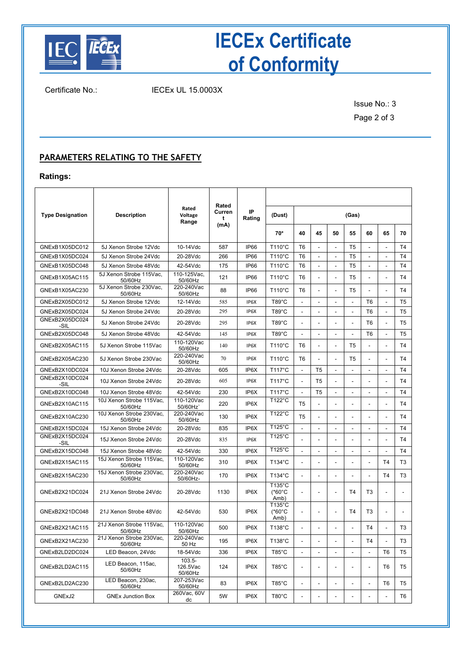

Certificate No.: IECEx UL 15.0003X

Issue No.: 3

Page 2 of 3

## **PARAMETERS RELATING TO THE SAFETY**

### **Ratings:**

|                         | <b>Description</b>                  | Rated<br>Voltage<br>Range        | Rated<br>Curren<br>t | IP<br>Rating |                                    |                          |                          |                              |                          |                          |                          |                          |
|-------------------------|-------------------------------------|----------------------------------|----------------------|--------------|------------------------------------|--------------------------|--------------------------|------------------------------|--------------------------|--------------------------|--------------------------|--------------------------|
| <b>Type Designation</b> |                                     |                                  |                      |              | (Dust)                             | (Gas)                    |                          |                              |                          |                          |                          |                          |
|                         |                                     |                                  | (mA)                 |              | 70*                                | 40                       | 45                       | 50                           | 55                       | 60                       | 65                       | 70                       |
| GNExB1X05DC012          | 5J Xenon Strobe 12Vdc               | 10-14Vdc                         | 587                  | IP66         | T110°C                             | T <sub>6</sub>           | $\mathbf{r}$             | $\overline{\phantom{a}}$     | T <sub>5</sub>           | $\Box$                   | ÷,                       | T <sub>4</sub>           |
| GNExB1X05DC024          | 5J Xenon Strobe 24Vdc               | 20-28Vdc                         | 266                  | IP66         | T110°C                             | T <sub>6</sub>           | $\blacksquare$           | $\overline{\phantom{a}}$     | T <sub>5</sub>           | $\blacksquare$           | $\overline{\phantom{a}}$ | T <sub>4</sub>           |
| GNExB1X05DC048          | 5J Xenon Strobe 48Vdc               | 42-54Vdc                         | 175                  | IP66         | T110°C                             | T <sub>6</sub>           | $\blacksquare$           | $\blacksquare$               | T <sub>5</sub>           | $\Box$                   | $\overline{\phantom{a}}$ | T <sub>4</sub>           |
| GNExB1X05AC115          | 5J Xenon Strobe 115Vac,<br>50/60Hz  | 110-125Vac,<br>50/60Hz           | 121                  | IP66         | T110°C                             | T <sub>6</sub>           | $\overline{a}$           |                              | T <sub>5</sub>           | $\overline{a}$           |                          | <b>T4</b>                |
| GNExB1X05AC230          | 5J Xenon Strobe 230Vac.<br>50/60Hz  | 220-240Vac<br>50/60Hz            | 88                   | IP66         | T110°C                             | T <sub>6</sub>           | $\overline{a}$           | $\overline{a}$               | T <sub>5</sub>           | $\overline{a}$           |                          | T <sub>4</sub>           |
| GNExB2X05DC012          | 5J Xenon Strobe 12Vdc               | 12-14Vdc                         | 585                  | IP6X         | $T89^{\circ}$ C                    |                          | $\overline{a}$           |                              |                          | T <sub>6</sub>           |                          | T <sub>5</sub>           |
| GNExB2X05DC024          | 5J Xenon Strobe 24Vdc               | 20-28Vdc                         | 295                  | IP6X         | $T89^{\circ}C$                     |                          |                          |                              |                          | T <sub>6</sub>           |                          | T <sub>5</sub>           |
| GNExB2X05DC024<br>-SIL  | 5J Xenon Strobe 24Vdc               | 20-28Vdc                         | 295                  | IP6X         | $T89^{\circ}C$                     | $\overline{a}$           | $\blacksquare$           | $\overline{a}$               | $\overline{a}$           | T6                       | $\overline{a}$           | T5                       |
| GNExB2X05DC048          | 5J Xenon Strobe 48Vdc               | 42-54Vdc                         | 145                  | IP6X         | $T89^{\circ}C$                     |                          | $\overline{a}$           | $\overline{\phantom{a}}$     |                          | T <sub>6</sub>           |                          | T5                       |
| GNExB2X05AC115          | 5J Xenon Strobe 115Vac              | 110-120Vac<br>50/60Hz            | 140                  | IP6X         | T110°C                             | T <sub>6</sub>           | $\overline{\phantom{a}}$ |                              | T <sub>5</sub>           | $\overline{\phantom{a}}$ |                          | T4                       |
| GNExB2X05AC230          | 5J Xenon Strobe 230Vac              | 220-240Vac<br>50/60Hz            | 70                   | IP6X         | T110°C                             | T <sub>6</sub>           | $\overline{\phantom{a}}$ |                              | T <sub>5</sub>           | $\overline{\phantom{a}}$ |                          | T4                       |
| GNExB2X10DC024          | 10J Xenon Strobe 24Vdc              | 20-28Vdc                         | 605                  | IP6X         | $T117^{\circ}C$                    | $\overline{\phantom{a}}$ | T <sub>5</sub>           | $\overline{\phantom{a}}$     | $\overline{\phantom{a}}$ | $\overline{\phantom{a}}$ | $\overline{a}$           | T4                       |
| GNExB2X10DC024<br>-SIL  | 10J Xenon Strobe 24Vdc              | 20-28Vdc                         | 605                  | IP6X         | $T117^{\circ}C$                    | $\blacksquare$           | T <sub>5</sub>           | $\overline{a}$               |                          |                          |                          | T <sub>4</sub>           |
| GNExB2X10DC048          | 10J Xenon Strobe 48Vdc              | 42-54Vdc                         | 230                  | IP6X         | $T117^{\circ}C$                    |                          | T <sub>5</sub>           | $\qquad \qquad \blacksquare$ |                          | $\overline{\phantom{a}}$ |                          | T <sub>4</sub>           |
| GNExB2X10AC115          | 10J Xenon Strobe 115Vac,<br>50/60Hz | 110-120Vac<br>50/60Hz            | 220                  | IP6X         | T122°C                             | T <sub>5</sub>           | $\overline{\phantom{a}}$ | $\overline{\phantom{a}}$     | ÷,                       | $\overline{\phantom{a}}$ | ÷,                       | T4                       |
| GNExB2X10AC230          | 10J Xenon Strobe 230Vac,<br>50/60Hz | 220-240Vac<br>50/60Hz            | 130                  | IP6X         | T122°C                             | T5                       | $\overline{a}$           |                              |                          | $\overline{a}$           |                          | T4                       |
| GNExB2X15DC024          | 15J Xenon Strobe 24Vdc              | 20-28Vdc                         | 835                  | IP6X         | T125°C                             | $\overline{a}$           | $\blacksquare$           | $\overline{a}$               | $\overline{a}$           | $\blacksquare$           | $\overline{\phantom{a}}$ | T <sub>4</sub>           |
| GNExB2X15DC024<br>-SIL  | 15J Xenon Strobe 24Vdc              | 20-28Vdc                         | 835                  | IP6X         | T125°C                             |                          | $\overline{a}$           |                              |                          | $\overline{a}$           |                          | T <sub>4</sub>           |
| GNExB2X15DC048          | 15J Xenon Strobe 48Vdc              | 42-54Vdc                         | 330                  | IP6X         | $T125^{\circ}$ C                   | $\overline{\phantom{a}}$ | $\blacksquare$           | $\overline{\phantom{a}}$     | $\overline{\phantom{a}}$ | $\overline{\phantom{a}}$ | $\overline{\phantom{a}}$ | T4                       |
| GNExB2X15AC115          | 15J Xenon Strobe 115Vac,<br>50/60Hz | 110-120Vac<br>50/60Hz            | 310                  | IP6X         | T134°C                             |                          |                          |                              |                          |                          | T <sub>4</sub>           | T <sub>3</sub>           |
| GNExB2X15AC230          | 15J Xenon Strobe 230Vac,<br>50/60Hz | 220-240Vac<br>50/60Hz-           | 170                  | IP6X         | T134°C                             | $\overline{\phantom{a}}$ | $\overline{\phantom{a}}$ | $\overline{\phantom{a}}$     | ÷,                       | $\overline{\phantom{a}}$ | T <sub>4</sub>           | T3                       |
| GNExB2X21DC024          | 21J Xenon Strobe 24Vdc              | 20-28Vdc                         | 1130                 | IP6X         | T135°C<br>$(^*60^{\circ}C$<br>Amb) | $\blacksquare$           | $\overline{\phantom{a}}$ | ٠                            | T4                       | T3                       | $\overline{a}$           | $\overline{\phantom{a}}$ |
| GNExB2X21DC048          | 21J Xenon Strobe 48Vdc              | 42-54Vdc                         | 530                  | IP6X         | T135°C<br>$(^*60^{\circ}C$<br>Amb) |                          | $\overline{a}$           |                              | T4                       | T <sub>3</sub>           |                          |                          |
| GNExB2X21AC115          | 21J Xenon Strobe 115Vac,<br>50/60Hz | 110-120Vac<br>50/60Hz            | 500                  | IP6X         | T138°C                             | $\overline{\phantom{a}}$ | $\overline{\phantom{a}}$ | $\overline{\phantom{a}}$     | $\overline{a}$           | T <sub>4</sub>           | $\overline{a}$           | T3                       |
| GNExB2X21AC230          | 21J Xenon Strobe 230Vac,<br>50/60HZ | 220-240Vac<br>50 HZ              | 195                  | IP6X         | T138°C                             |                          |                          |                              |                          | T <sub>4</sub>           |                          | T <sub>3</sub>           |
| GNExB2LD2DC024          | LED Beacon, 24Vdc                   | 18-54Vdc                         | 336                  | IP6X         | T85°C                              |                          |                          |                              |                          |                          | T6                       | T5                       |
| GNExB2LD2AC115          | LED Beacon, 115ac,<br>50/60Hz       | $103.5 -$<br>126.5Vac<br>50/60Hz | 124                  | IP6X         | $T85^{\circ}$ C                    | $\overline{\phantom{a}}$ | $\overline{a}$           |                              |                          | $\blacksquare$           | T <sub>6</sub>           | T5                       |
| GNExB2LD2AC230          | LED Beacon, 230ac,<br>50/60Hz       | 207-253Vac<br>50/60Hz            | 83                   | IP6X         | $T85^{\circ}$ C                    |                          | $\overline{a}$           |                              |                          | $\blacksquare$           | T6                       | T5                       |
| GNExJ2                  | <b>GNEx Junction Box</b>            | 260Vac, 60V<br>dc                | 5W                   | IP6X         | $T80^{\circ}$ C                    |                          | $\overline{a}$           |                              |                          |                          |                          | T6                       |